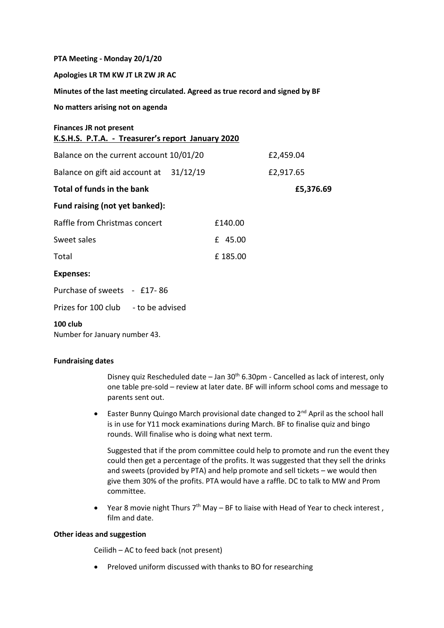**PTA Meeting - Monday 20/1/20**

**Apologies LR TM KW JT LR ZW JR AC** 

**Minutes of the last meeting circulated. Agreed as true record and signed by BF**

**No matters arising not on agenda**

**Finances JR not present**

| K.S.H.S. P.T.A. - Treasurer's report January 2020 |         |           |
|---------------------------------------------------|---------|-----------|
| Balance on the current account 10/01/20           |         | £2,459.04 |
| Balance on gift aid account at 31/12/19           |         | £2,917.65 |
| Total of funds in the bank                        |         | £5,376.69 |
| Fund raising (not yet banked):                    |         |           |
| Raffle from Christmas concert                     | £140.00 |           |
| Sweet sales                                       | £ 45.00 |           |
| Total                                             | £185.00 |           |
| <b>Expenses:</b>                                  |         |           |
| Purchase of sweets - £17-86                       |         |           |
| Prizes for 100 club - to be advised               |         |           |

## **100 club**

Number for January number 43.

## **Fundraising dates**

Disney quiz Rescheduled date  $-$  Jan 30<sup>th</sup> 6.30pm - Cancelled as lack of interest, only one table pre-sold – review at later date. BF will inform school coms and message to parents sent out.

**•** Easter Bunny Quingo March provisional date changed to  $2^{nd}$  April as the school hall is in use for Y11 mock examinations during March. BF to finalise quiz and bingo rounds. Will finalise who is doing what next term.

Suggested that if the prom committee could help to promote and run the event they could then get a percentage of the profits. It was suggested that they sell the drinks and sweets (provided by PTA) and help promote and sell tickets – we would then give them 30% of the profits. PTA would have a raffle. DC to talk to MW and Prom committee.

• Year 8 movie night Thurs  $7<sup>th</sup>$  May – BF to liaise with Head of Year to check interest, film and date.

## **Other ideas and suggestion**

Ceilidh – AC to feed back (not present)

• Preloved uniform discussed with thanks to BO for researching